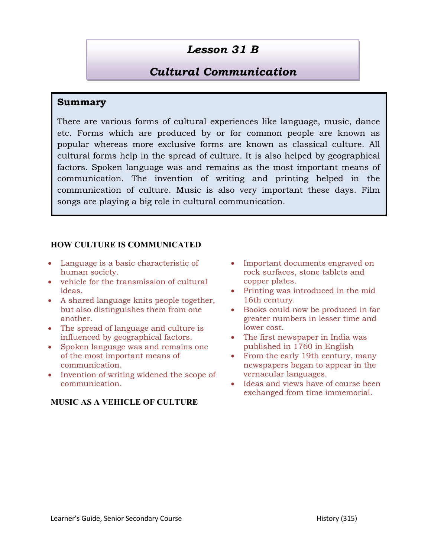# Lesson 31 B

## Cultural Communication

### Summary

There are various forms of cultural experiences like language, music, dance etc. Forms which are produced by or for common people are known as popular whereas more exclusive forms are known as classical culture. All cultural forms help in the spread of culture. It is also helped by geographical factors. Spoken language was and remains as the most important means of communication. The invention of writing and printing helped in the communication of culture. Music is also very important these days. Film songs are playing a big role in cultural communication.

#### HOW CULTURE IS COMMUNICATED

- Language is a basic characteristic of human society.
- vehicle for the transmission of cultural ideas.
- A shared language knits people together, but also distinguishes them from one another.
- The spread of language and culture is influenced by geographical factors.
- Spoken language was and remains one of the most important means of communication.
- Invention of writing widened the scope of communication.

#### MUSIC AS A VEHICLE OF CULTURE

- Important documents engraved on rock surfaces, stone tablets and copper plates.
- Printing was introduced in the mid 16th century.
- Books could now be produced in far greater numbers in lesser time and lower cost.
- The first newspaper in India was published in 1760 in English
- From the early 19th century, many newspapers began to appear in the vernacular languages.
- Ideas and views have of course been exchanged from time immemorial.